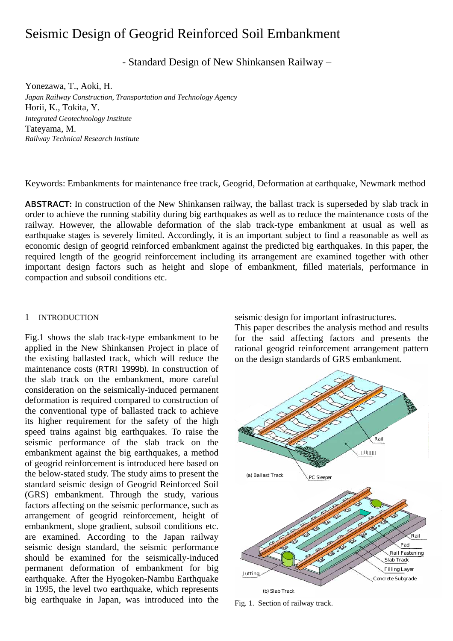# Seismic Design of Geogrid Reinforced Soil Embankment

- Standard Design of New Shinkansen Railway –

Yonezawa, T., Aoki, H. *Japan Railway Construction, Transportation and Technology Agency*  Horii, K., Tokita, Y. *Integrated Geotechnology Institute*  Tateyama, M. *Railway Technical Research Institute* 

Keywords: Embankments for maintenance free track, Geogrid, Deformation at earthquake, Newmark method

ABSTRACT: In construction of the New Shinkansen railway, the ballast track is superseded by slab track in order to achieve the running stability during big earthquakes as well as to reduce the maintenance costs of the railway. However, the allowable deformation of the slab track-type embankment at usual as well as earthquake stages is severely limited. Accordingly, it is an important subject to find a reasonable as well as economic design of geogrid reinforced embankment against the predicted big earthquakes. In this paper, the required length of the geogrid reinforcement including its arrangement are examined together with other important design factors such as height and slope of embankment, filled materials, performance in compaction and subsoil conditions etc.

## 1 INTRODUCTION

Fig.1 shows the slab track-type embankment to be applied in the New Shinkansen Project in place of the existing ballasted track, which will reduce the maintenance costs (RTRI 1999b). In construction of the slab track on the embankment, more careful consideration on the seismically-induced permanent deformation is required compared to construction of the conventional type of ballasted track to achieve its higher requirement for the safety of the high speed trains against big earthquakes. To raise the seismic performance of the slab track on the embankment against the big earthquakes, a method of geogrid reinforcement is introduced here based on the below-stated study. The study aims to present the standard seismic design of Geogrid Reinforced Soil (GRS) embankment. Through the study, various factors affecting on the seismic performance, such as arrangement of geogrid reinforcement, height of embankment, slope gradient, subsoil conditions etc. are examined. According to the Japan railway seismic design standard, the seismic performance should be examined for the seismically-induced permanent deformation of embankment for big earthquake. After the Hyogoken-Nambu Earthquake in 1995, the level two earthquake, which represents big earthquake in Japan, was introduced into the

seismic design for important infrastructures.

This paper describes the analysis method and results for the said affecting factors and presents the rational geogrid reinforcement arrangement pattern on the design standards of GRS embankment.



Fig. 1. Section of railway track.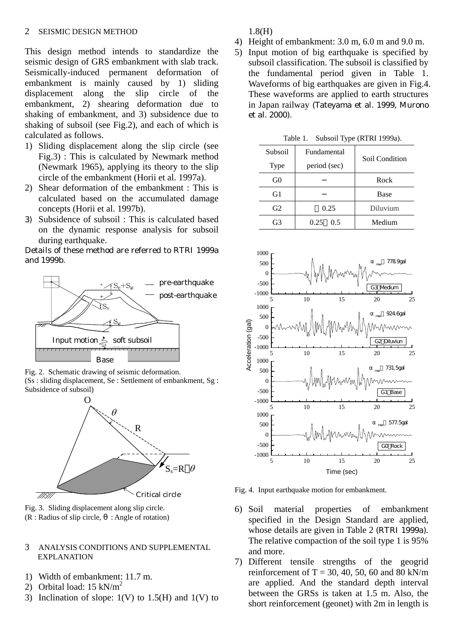This design method intends to standardize the seismic design of GRS embankment with slab track. Seismically-induced permanent deformation of embankment is mainly caused by 1) sliding displacement along the slip circle of the embankment, 2) shearing deformation due to shaking of embankment, and 3) subsidence due to shaking of subsoil (see Fig.2), and each of which is calculated as follows.

- 1) Sliding displacement along the slip circle (see Fig.3) : This is calculated by Newmark method (Newmark 1965), applying its theory to the slip circle of the embankment (Horii et al. 1997a).
- 2) Shear deformation of the embankment : This is calculated based on the accumulated damage concepts (Horii et al. 1997b).
- 3) Subsidence of subsoil : This is calculated based on the dynamic response analysis for subsoil during earthquake.

Details of these method are referred to RTRI 1999a and 1999b.



Fig. 2. Schematic drawing of seismic deformation. (Ss : sliding displacement, Se : Settlement of embankment, Sg : Subsidence of subsoil)



Fig. 3. Sliding displacement along slip circle.  $(R: Radius of slip circle, : Angle of rotation)$ 

## 3 ANALYSIS CONDITIONS AND SUPPLEMENTAL EXPLANATION

- 1) Width of embankment: 11.7 m.
- 2) Orbital load:  $15 \text{ kN/m}^2$
- 3) Inclination of slope:  $1(V)$  to  $1.5(H)$  and  $1(V)$  to

1.8(H)

- 4) Height of embankment: 3.0 m, 6.0 m and 9.0 m.
- 5) Input motion of big earthquake is specified by subsoil classification. The subsoil is classified by the fundamental period given in Table 1. Waveforms of big earthquakes are given in Fig.4. These waveforms are applied to earth structures in Japan railway (Tateyama et al. 1999, Murono et al. 2000).

Table 1. Subsoil Type (RTRI 1999a).

| Subsoil | Fundamental  | Soil Condition |  |
|---------|--------------|----------------|--|
| Type    | period (sec) |                |  |
| G0      |              | Rock           |  |
| G1      |              | Base           |  |
| G2      | 0.25         | Diluvium       |  |
| 67      | 0.25<br>0.5  | Medium         |  |



Fig. 4. Input earthquake motion for embankment.

- 6) Soil material properties of embankment specified in the Design Standard are applied, whose details are given in Table 2 (RTRI 1999a). The relative compaction of the soil type 1 is 95% and more.
- 7) Different tensile strengths of the geogrid reinforcement of T = 30, 40, 50, 60 and 80 kN/m are applied. And the standard depth interval between the GRSs is taken at 1.5 m. Also, the short reinforcement (geonet) with 2m in length is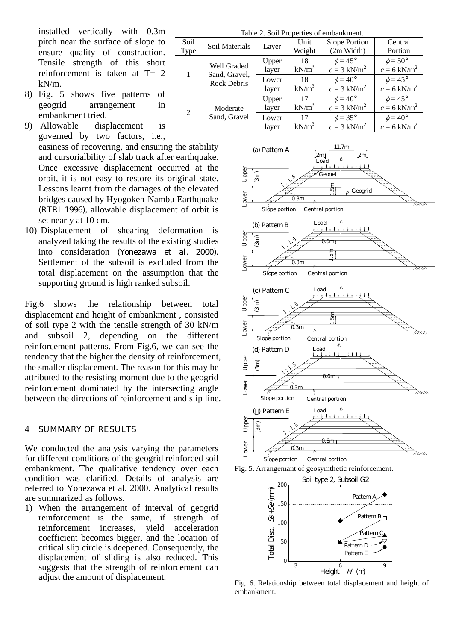installed vertically with 0.3m pitch near the surface of slope to ensure quality of construction. Tensile strength of this short reinforcement is taken at T= 2 kN/m.

- 8) Fig. 5 shows five patterns of geogrid arrangement in embankment tried.
- 9) Allowable displacement is governed by two factors, i.e.,

easiness of recovering, and ensuring the stability and cursorialbility of slab track after earthquake. Once excessive displacement occurred at the orbit, it is not easy to restore its original state. Lessons learnt from the damages of the elevated bridges caused by Hyogoken-Nambu Earthquake (RTRI 1996), allowable displacement of orbit is set nearly at 10 cm.

10) Displacement of shearing deformation is analyzed taking the results of the existing studies into consideration (Yonezawa et al. 2000). Settlement of the subsoil is excluded from the total displacement on the assumption that the supporting ground is high ranked subsoil.

Fig.6 shows the relationship between total displacement and height of embankment , consisted of soil type 2 with the tensile strength of 30 kN/m and subsoil 2, depending on the different reinforcement patterns. From Fig.6, we can see the tendency that the higher the density of reinforcement, the smaller displacement. The reason for this may be attributed to the resisting moment due to the geogrid reinforcement dominated by the intersecting angle between the directions of reinforcement and slip line.

#### 4 SUMMARY OF RESULTS

We conducted the analysis varying the parameters for different conditions of the geogrid reinforced soil embankment. The qualitative tendency over each condition was clarified. Details of analysis are referred to Yonezawa et al. 2000. Analytical results are summarized as follows.

1) When the arrangement of interval of geogrid reinforcement is the same, if strength of reinforcement increases, yield acceleration coefficient becomes bigger, and the location of critical slip circle is deepened. Consequently, the displacement of sliding is also reduced. This suggests that the strength of reinforcement can adjust the amount of displacement.

| Table 2. Soil Properties of embankment. |                                                    |       |          |                           |                           |  |
|-----------------------------------------|----------------------------------------------------|-------|----------|---------------------------|---------------------------|--|
| Soil                                    | Soil Materials                                     | Layer | Unit     | Slope Portion             | Central                   |  |
| Type                                    |                                                    |       | Weight   | (2m Width)                | Portion                   |  |
| 1                                       | Well Graded<br>Sand, Gravel,<br><b>Rock Debris</b> | Upper | 18       | $\phi = 45^{\circ}$       | $\phi = 50^{\circ}$       |  |
|                                         |                                                    | layer | $kN/m^3$ | $c = 3$ kN/m <sup>2</sup> | $c = 6$ kN/m <sup>2</sup> |  |
|                                         |                                                    | Lower | 18       | $\phi = 40^{\circ}$       | $\phi = 45^{\circ}$       |  |
|                                         |                                                    | layer | $kN/m^3$ | $c = 3$ kN/m <sup>2</sup> | $c = 6$ kN/m <sup>2</sup> |  |
| 2                                       | Moderate<br>Sand, Gravel                           | Upper | 17       | $\phi = 40^{\circ}$       | $\phi = 45^{\circ}$       |  |
|                                         |                                                    | layer | $kN/m^3$ | $c = 3$ kN/m <sup>2</sup> | $c = 6$ kN/m <sup>2</sup> |  |
|                                         |                                                    | Lower | 17       | $\phi = 35^{\circ}$       | $\phi = 40^{\circ}$       |  |
|                                         |                                                    | laver | $kN/m^3$ | $c = 3$ kN/m <sup>2</sup> | $c = 6$ kN/m <sup>2</sup> |  |







Fig. 6. Relationship between total displacement and height of embankment.